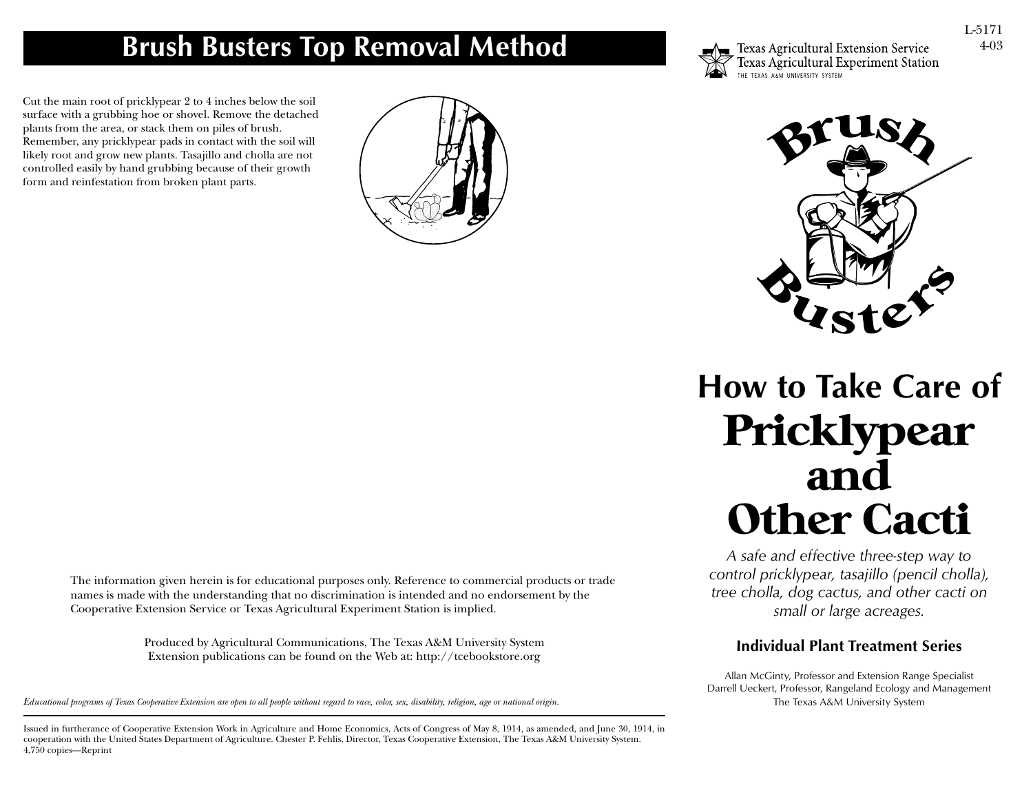# **Brush Busters Top Removal Method**

Cut the main root of pricklypear 2 to 4 inches below the soil surface with a grubbing hoe or shovel. Remove the detached plants from the area, or stack them on piles of brush. Remember, any pricklypear pads in contact with the soil will likely root and grow new plants. Tasajillo and cholla are not controlled easily by hand grubbing because of their growth form and reinfestation from broken plant parts.

> The information given herein is for educational purposes only. Reference to commercial products or trade names is made with the understanding that no discrimination is intended and no endorsement by the Cooperative Extension Service or Texas Agricultural Experiment Station is implied.

> > Produced by Agricultural Communications, The Texas A&M University System Extension publications can be found on the Web at: http://tcebookstore.org

*Educational programs of Texas Cooperative Extension are open to all people without regard to race, color, sex, disability, religion, age or national origin.*

Issued in furtherance of Cooperative Extension Work in Agriculture and Home Economics, Acts of Congress of May 8, 1914, as amended, and June 30, 1914, in cooperation with the United States Department of Agriculture. Chester P. Fehlis, Director, Texas Cooperative Extension, The Texas A&M University System. 4,750 copies—Reprint

# **How to Take Care of** Pricklypear and Other Cacti

*A safe and effective three-step way to control pricklypear, tasajillo (pencil cholla), tree cholla, dog cactus, and other cacti on small or large acreages.*

## **Individual Plant Treatment Series**

Allan McGinty, Professor and Extension Range Specialist Darrell Ueckert, Professor, Rangeland Ecology and Management The Texas A&M University System





Texas Agricultural Extension Service<br>Texas Agricultural Experiment Station